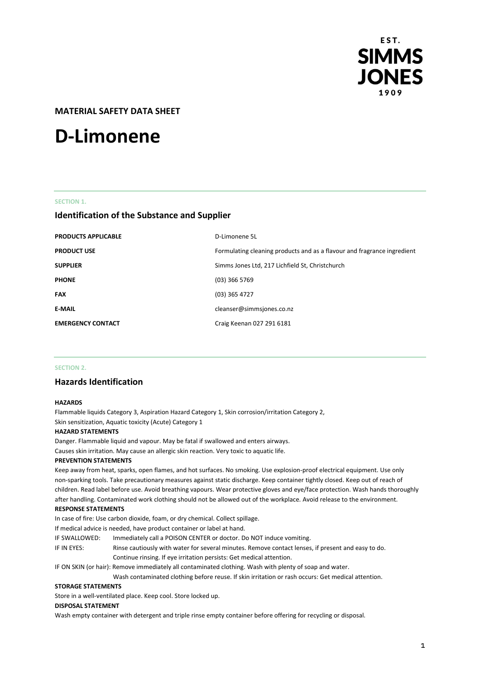

# **MATERIAL SAFETY DATA SHEET**

# **D-Limonene**

# **SECTION 1.**

# **Identification of the Substance and Supplier**

| <b>PRODUCTS APPLICABLE</b> | D-Limonene 5L                                                           |
|----------------------------|-------------------------------------------------------------------------|
| <b>PRODUCT USE</b>         | Formulating cleaning products and as a flavour and fragrance ingredient |
| <b>SUPPLIER</b>            | Simms Jones Ltd, 217 Lichfield St, Christchurch                         |
| <b>PHONE</b>               | $(03)$ 366 5769                                                         |
| <b>FAX</b>                 | $(03)$ 365 4727                                                         |
| <b>E-MAIL</b>              | cleanser@simmsjones.co.nz                                               |
| <b>EMERGENCY CONTACT</b>   | Craig Keenan 027 291 6181                                               |

#### **SECTION 2.**

# **Hazards Identification**

#### **HAZARDS**

Flammable liquids Category 3, Aspiration Hazard Category 1, Skin corrosion/irritation Category 2, Skin sensitization, Aquatic toxicity (Acute) Category 1

#### **HAZARD STATEMENTS**

Danger. Flammable liquid and vapour. May be fatal if swallowed and enters airways.

Causes skin irritation. May cause an allergic skin reaction. Very toxic to aquatic life.

# **PREVENTION STATEMENTS**

Keep away from heat, sparks, open flames, and hot surfaces. No smoking. Use explosion-proof electrical equipment. Use only non-sparking tools. Take precautionary measures against static discharge. Keep container tightly closed. Keep out of reach of children. Read label before use. Avoid breathing vapours. Wear protective gloves and eye/face protection. Wash hands thoroughly after handling. Contaminated work clothing should not be allowed out of the workplace. Avoid release to the environment. **RESPONSE STATEMENTS**

In case of fire: Use carbon dioxide, foam, or dry chemical. Collect spillage.

If medical advice is needed, have product container or label at hand.

- IF SWALLOWED: Immediately call a POISON CENTER or doctor. Do NOT induce vomiting.
- IF IN EYES: Rinse cautiously with water for several minutes. Remove contact lenses, if present and easy to do. Continue rinsing. If eye irritation persists: Get medical attention.

IF ON SKIN (or hair): Remove immediately all contaminated clothing. Wash with plenty of soap and water.

Wash contaminated clothing before reuse. If skin irritation or rash occurs: Get medical attention.

# **STORAGE STATEMENTS**

Store in a well-ventilated place. Keep cool. Store locked up.

#### **DISPOSAL STATEMENT**

Wash empty container with detergent and triple rinse empty container before offering for recycling or disposal.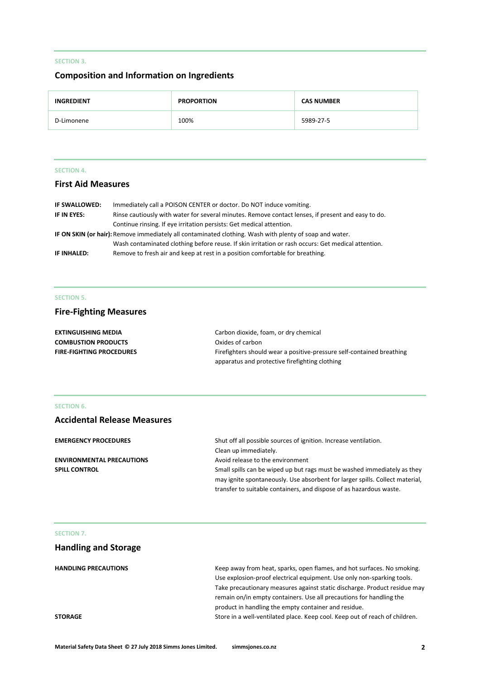# **SECTION 3.**

# **Composition and Information on Ingredients**

| <b>INGREDIENT</b> | <b>PROPORTION</b> | <b>CAS NUMBER</b> |
|-------------------|-------------------|-------------------|
| D-Limonene        | 100%              | 5989-27-5         |

# **SECTION 4.**

# **First Aid Measures**

| IF SWALLOWED:                                                                                           | Immediately call a POISON CENTER or doctor. Do NOT induce vomiting.                                |  |
|---------------------------------------------------------------------------------------------------------|----------------------------------------------------------------------------------------------------|--|
| IF IN EYES:                                                                                             | Rinse cautiously with water for several minutes. Remove contact lenses, if present and easy to do. |  |
|                                                                                                         | Continue rinsing. If eye irritation persists: Get medical attention.                               |  |
| IF ON SKIN (or hair): Remove immediately all contaminated clothing. Wash with plenty of soap and water. |                                                                                                    |  |
|                                                                                                         | Wash contaminated clothing before reuse. If skin irritation or rash occurs: Get medical attention. |  |
| IF INHALED:                                                                                             | Remove to fresh air and keep at rest in a position comfortable for breathing.                      |  |

# **SECTION 5.**

# **Fire-Fighting Measures**

| <b>EXTINGUISHING MEDIA</b>      | Carbon dioxide, foam, or dry chemical                                 |
|---------------------------------|-----------------------------------------------------------------------|
| <b>COMBUSTION PRODUCTS</b>      | Oxides of carbon                                                      |
| <b>FIRE-FIGHTING PROCEDURES</b> | Firefighters should wear a positive-pressure self-contained breathing |
|                                 | apparatus and protective firefighting clothing                        |

# **SECTION 6.**

# **Accidental Release Measures**

| <b>EMERGENCY PROCEDURES</b>      | Shut off all possible sources of ignition. Increase ventilation.             |
|----------------------------------|------------------------------------------------------------------------------|
|                                  | Clean up immediately.                                                        |
| <b>ENVIRONMENTAL PRECAUTIONS</b> | Avoid release to the environment                                             |
| <b>SPILL CONTROL</b>             | Small spills can be wiped up but rags must be washed immediately as they     |
|                                  | may ignite spontaneously. Use absorbent for larger spills. Collect material, |
|                                  | transfer to suitable containers, and dispose of as hazardous waste.          |

# **SECTION 7.**

# **Handling and Storage**

| <b>HANDLING PRECAUTIONS</b> | Keep away from heat, sparks, open flames, and hot surfaces. No smoking.     |
|-----------------------------|-----------------------------------------------------------------------------|
|                             | Use explosion-proof electrical equipment. Use only non-sparking tools.      |
|                             | Take precautionary measures against static discharge. Product residue may   |
|                             | remain on/in empty containers. Use all precautions for handling the         |
|                             | product in handling the empty container and residue.                        |
| <b>STORAGE</b>              | Store in a well-ventilated place. Keep cool. Keep out of reach of children. |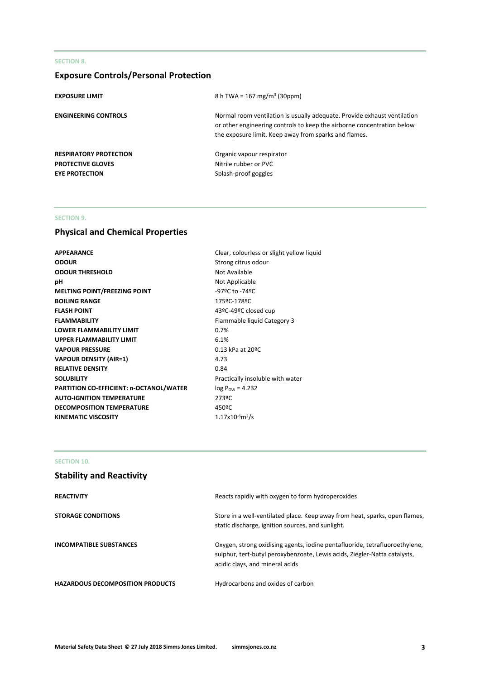# **SECTION 8.**

# **Exposure Controls/Personal Protection**

| <b>EXPOSURE LIMIT</b>         | 8 h TWA = $167 \text{ mg/m}^3$ (30ppm)                                                                                                                                                                      |
|-------------------------------|-------------------------------------------------------------------------------------------------------------------------------------------------------------------------------------------------------------|
| <b>ENGINEERING CONTROLS</b>   | Normal room ventilation is usually adequate. Provide exhaust ventilation<br>or other engineering controls to keep the airborne concentration below<br>the exposure limit. Keep away from sparks and flames. |
| <b>RESPIRATORY PROTECTION</b> | Organic vapour respirator                                                                                                                                                                                   |
| <b>PROTECTIVE GLOVES</b>      | Nitrile rubber or PVC                                                                                                                                                                                       |
| <b>EYE PROTECTION</b>         | Splash-proof goggles                                                                                                                                                                                        |

# **SECTION 9.**

# **Physical and Chemical Properties**

| <b>APPEARANCE</b>                       | Clear, colourless or slight yellow liquid |
|-----------------------------------------|-------------------------------------------|
| <b>ODOUR</b>                            | Strong citrus odour                       |
| <b>ODOUR THRESHOLD</b>                  | Not Available                             |
| рH                                      | Not Applicable                            |
| <b>MELTING POINT/FREEZING POINT</b>     | -97ºC to -74ºC                            |
| <b>BOILING RANGE</b>                    | 175ºC-178ºC                               |
| <b>FLASH POINT</b>                      | 43ºC-49ºC closed cup                      |
| <b>FLAMMABILITY</b>                     | Flammable liquid Category 3               |
| <b>LOWER FLAMMABILITY LIMIT</b>         | 0.7%                                      |
| <b>UPPER FLAMMABILITY LIMIT</b>         | 6.1%                                      |
| <b>VAPOUR PRESSURE</b>                  | 0.13 kPa at 20ºC                          |
| <b>VAPOUR DENSITY (AIR=1)</b>           | 4.73                                      |
| <b>RELATIVE DENSITY</b>                 | 0.84                                      |
| <b>SOLUBILITY</b>                       | Practically insoluble with water          |
| PARTITION CO-EFFICIENT: n-OCTANOL/WATER | $log P_{OW} = 4.232$                      |
| <b>AUTO-IGNITION TEMPERATURE</b>        | 273ºC                                     |
| <b>DECOMPOSITION TEMPERATURE</b>        | 450°C                                     |
| <b>KINEMATIC VISCOSITY</b>              | $1.17x10^{6}m^{2}/s$                      |
|                                         |                                           |

# **SECTION 10.**

| <b>Stability and Reactivity</b>         |                                                                                                                                                                                             |
|-----------------------------------------|---------------------------------------------------------------------------------------------------------------------------------------------------------------------------------------------|
| <b>REACTIVITY</b>                       | Reacts rapidly with oxygen to form hydroperoxides                                                                                                                                           |
| <b>STORAGE CONDITIONS</b>               | Store in a well-ventilated place. Keep away from heat, sparks, open flames,<br>static discharge, ignition sources, and sunlight.                                                            |
| <b>INCOMPATIBLE SUBSTANCES</b>          | Oxygen, strong oxidising agents, iodine pentafluoride, tetrafluoroethylene,<br>sulphur, tert-butyl peroxybenzoate, Lewis acids, Ziegler-Natta catalysts,<br>acidic clays, and mineral acids |
| <b>HAZARDOUS DECOMPOSITION PRODUCTS</b> | Hydrocarbons and oxides of carbon                                                                                                                                                           |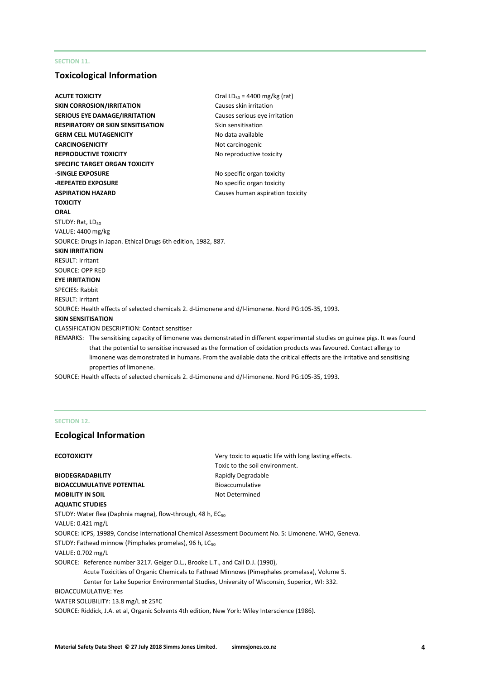# **SECTION 11.**

# **Toxicological Information**

| <b>ACUTE TOXICITY</b>        |                                                               | Oral LD <sub>50</sub> = 4400 mg/kg (rat)                                                                                      |
|------------------------------|---------------------------------------------------------------|-------------------------------------------------------------------------------------------------------------------------------|
|                              | <b>SKIN CORROSION/IRRITATION</b>                              | Causes skin irritation                                                                                                        |
|                              | <b>SERIOUS EYE DAMAGE/IRRITATION</b>                          | Causes serious eye irritation                                                                                                 |
|                              | RESPIRATORY OR SKIN SENSITISATION                             | Skin sensitisation                                                                                                            |
|                              | <b>GERM CELL MUTAGENICITY</b>                                 | No data available                                                                                                             |
| <b>CARCINOGENICITY</b>       |                                                               | Not carcinogenic                                                                                                              |
|                              | <b>REPRODUCTIVE TOXICITY</b>                                  | No reproductive toxicity                                                                                                      |
|                              | SPECIFIC TARGET ORGAN TOXICITY                                |                                                                                                                               |
| <b>-SINGLE EXPOSURE</b>      |                                                               | No specific organ toxicity                                                                                                    |
| <b>-REPEATED EXPOSURE</b>    |                                                               | No specific organ toxicity                                                                                                    |
| <b>ASPIRATION HAZARD</b>     |                                                               | Causes human aspiration toxicity                                                                                              |
| TOXICITY                     |                                                               |                                                                                                                               |
| ORAL                         |                                                               |                                                                                                                               |
| STUDY: Rat, LD <sub>50</sub> |                                                               |                                                                                                                               |
| VALUE: 4400 mg/kg            |                                                               |                                                                                                                               |
|                              | SOURCE: Drugs in Japan. Ethical Drugs 6th edition, 1982, 887. |                                                                                                                               |
| <b>SKIN IRRITATION</b>       |                                                               |                                                                                                                               |
| <b>RESULT: Irritant</b>      |                                                               |                                                                                                                               |
| <b>SOURCE: OPP RED</b>       |                                                               |                                                                                                                               |
| <b>EYE IRRITATION</b>        |                                                               |                                                                                                                               |
| <b>SPECIES: Rabbit</b>       |                                                               |                                                                                                                               |
| RESULT: Irritant             |                                                               |                                                                                                                               |
|                              |                                                               | SOURCE: Health effects of selected chemicals 2. d-Limonene and d/l-limonene. Nord PG:105-35, 1993.                            |
| <b>SKIN SENSITISATION</b>    |                                                               |                                                                                                                               |
|                              | <b>CLASSIFICATION DESCRIPTION: Contact sensitiser</b>         |                                                                                                                               |
|                              |                                                               | REMARKS: The sensitising capacity of limonene was demonstrated in different experimental studies on guinea pigs. It was found |
|                              |                                                               | that the potential to sensitise increased as the formation of oxidation products was favoured. Contact allergy to             |
|                              |                                                               | limonene was demonstrated in humans. From the available data the critical effects are the irritative and sensitising          |
|                              | properties of limonene.                                       |                                                                                                                               |

SOURCE: Health effects of selected chemicals 2. d-Limonene and d/l-limonene. Nord PG:105-35, 1993.

# **SECTION 12.**

# **Ecological Information**

**ECOTOXICITY ECOTOXICITY ECOTO** Toxic to the soil environment. **BIODEGRADABILITY** Rapidly Degradable **BIOACCUMULATIVE POTENTIAL** Bioaccumulative **MOBILITY IN SOIL** Not Determined **AQUATIC STUDIES** STUDY: Water flea (Daphnia magna), flow-through, 48 h, EC<sub>50</sub> VALUE: 0.421 mg/L SOURCE: ICPS, 19989, Concise International Chemical Assessment Document No. 5: Limonene. WHO, Geneva. STUDY: Fathead minnow (Pimphales promelas), 96 h, LC<sub>50</sub> VALUE: 0.702 mg/L SOURCE: Reference number 3217. Geiger D.L., Brooke L.T., and Call D.J. (1990), Acute Toxicities of Organic Chemicals to Fathead Minnows (Pimephales promelasa), Volume 5. Center for Lake Superior Environmental Studies, University of Wisconsin, Superior, WI: 332. BIOACCUMULATIVE: Yes WATER SOLUBILITY: 13.8 mg/L at 25ºC SOURCE: Riddick, J.A. et al, Organic Solvents 4th edition, New York: Wiley Interscience (1986).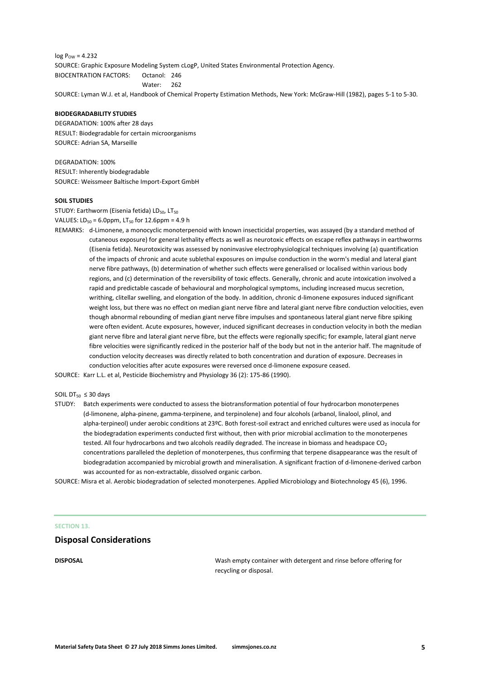$log P_{OW} = 4.232$ SOURCE: Graphic Exposure Modeling System cLogP, United States Environmental Protection Agency. BIOCENTRATION FACTORS: Octanol: 246 Water: 262 SOURCE: Lyman W.J. et al, Handbook of Chemical Property Estimation Methods, New York: McGraw-Hill (1982), pages 5-1 to 5-30.

#### **BIODEGRADABILITY STUDIES**

DEGRADATION: 100% after 28 days RESULT: Biodegradable for certain microorganisms SOURCE: Adrian SA, Marseille

DEGRADATION: 100% RESULT: Inherently biodegradable SOURCE: Weissmeer Baltische Import-Export GmbH

#### **SOIL STUDIES**

STUDY: Earthworm (Eisenia fetida) LD<sub>50</sub>, LT<sub>50</sub> VALUES:  $LD_{50} = 6.0$ ppm, LT<sub>50</sub> for 12.6ppm = 4.9 h

REMARKS: d-Limonene, a monocyclic monoterpenoid with known insecticidal properties, was assayed (by a standard method of cutaneous exposure) for general lethality effects as well as neurotoxic effects on escape reflex pathways in earthworms (Eisenia fetida). Neurotoxicity was assessed by noninvasive electrophysiological techniques involving (a) quantification of the impacts of chronic and acute sublethal exposures on impulse conduction in the worm's medial and lateral giant nerve fibre pathways, (b) determination of whether such effects were generalised or localised within various body regions, and (c) determination of the reversibility of toxic effects. Generally, chronic and acute intoxication involved a rapid and predictable cascade of behavioural and morphological symptoms, including increased mucus secretion, writhing, clitellar swelling, and elongation of the body. In addition, chronic d-limonene exposures induced significant weight loss, but there was no effect on median giant nerve fibre and lateral giant nerve fibre conduction velocities, even though abnormal rebounding of median giant nerve fibre impulses and spontaneous lateral giant nerve fibre spiking were often evident. Acute exposures, however, induced significant decreases in conduction velocity in both the median giant nerve fibre and lateral giant nerve fibre, but the effects were regionally specific; for example, lateral giant nerve fibre velocities were significantly rediced in the posterior half of the body but not in the anterior half. The magnitude of conduction velocity decreases was directly related to both concentration and duration of exposure. Decreases in conduction velocities after acute exposures were reversed once d-limonene exposure ceased.

SOURCE: Karr L.L. et al, Pesticide Biochemistry and Physiology 36 (2): 175-86 (1990).

# SOIL  $DT_{50} \leq 30$  days

STUDY: Batch experiments were conducted to assess the biotransformation potential of four hydrocarbon monoterpenes (d-limonene, alpha-pinene, gamma-terpinene, and terpinolene) and four alcohols (arbanol, linalool, plinol, and alpha-terpineol) under aerobic conditions at 23ºC. Both forest-soil extract and enriched cultures were used as inocula for the biodegradation experiments conducted first without, then with prior microbial acclimation to the monoterpenes tested. All four hydrocarbons and two alcohols readily degraded. The increase in biomass and headspace CO<sub>2</sub> concentrations paralleled the depletion of monoterpenes, thus confirming that terpene disappearance was the result of biodegradation accompanied by microbial growth and mineralisation. A significant fraction of d-limonene-derived carbon was accounted for as non-extractable, dissolved organic carbon.

SOURCE: Misra et al. Aerobic biodegradation of selected monoterpenes. Applied Microbiology and Biotechnology 45 (6), 1996.

#### **SECTION 13.**

#### **Disposal Considerations**

**DISPOSAL** Wash empty container with detergent and rinse before offering for recycling or disposal.